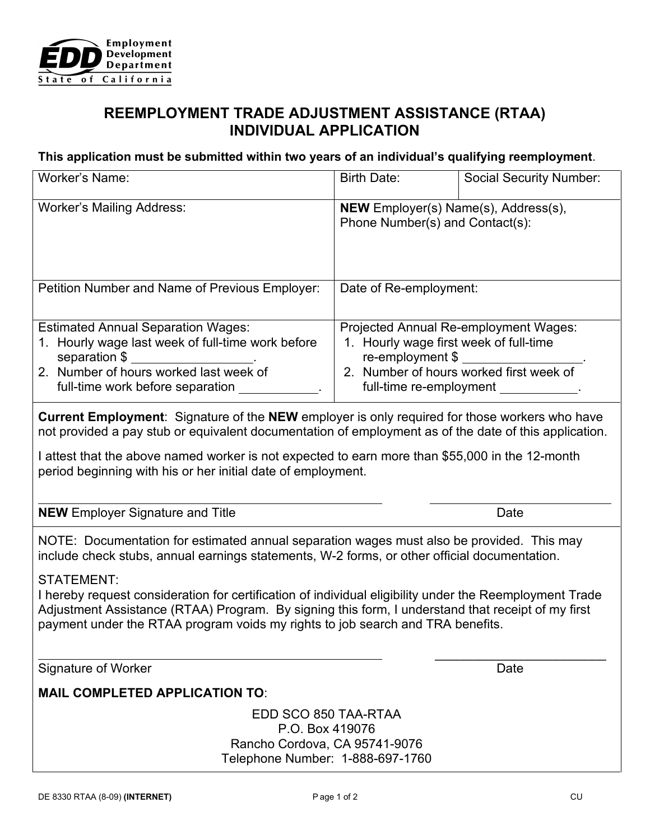

## **REEMPLOYMENT TRADE ADJUSTMENT ASSISTANCE (RTAA) INDIVIDUAL APPLICATION**

## **This application must be submitted within two years of an individual's qualifying reemployment**.

| Worker's Name:                                                                                                                                                                                                                                                                                                                                                                                                                                                                                                   | Birth Date:                                                                                                                                                                             | <b>Social Security Number:</b> |
|------------------------------------------------------------------------------------------------------------------------------------------------------------------------------------------------------------------------------------------------------------------------------------------------------------------------------------------------------------------------------------------------------------------------------------------------------------------------------------------------------------------|-----------------------------------------------------------------------------------------------------------------------------------------------------------------------------------------|--------------------------------|
| <b>Worker's Mailing Address:</b>                                                                                                                                                                                                                                                                                                                                                                                                                                                                                 | <b>NEW</b> Employer(s) Name(s), Address(s),<br>Phone Number(s) and Contact(s):                                                                                                          |                                |
| Petition Number and Name of Previous Employer:                                                                                                                                                                                                                                                                                                                                                                                                                                                                   | Date of Re-employment:                                                                                                                                                                  |                                |
| <b>Estimated Annual Separation Wages:</b><br>1. Hourly wage last week of full-time work before<br>separation \$ _____________________.<br>2. Number of hours worked last week of<br>full-time work before separation _________                                                                                                                                                                                                                                                                                   | Projected Annual Re-employment Wages:<br>1. Hourly wage first week of full-time<br>re-employment \$<br>2. Number of hours worked first week of<br>full-time re-employment ____________. |                                |
| <b>Current Employment</b> : Signature of the NEW employer is only required for those workers who have<br>not provided a pay stub or equivalent documentation of employment as of the date of this application.<br>I attest that the above named worker is not expected to earn more than \$55,000 in the 12-month<br>period beginning with his or her initial date of employment.                                                                                                                                |                                                                                                                                                                                         |                                |
| <b>NEW</b> Employer Signature and Title                                                                                                                                                                                                                                                                                                                                                                                                                                                                          |                                                                                                                                                                                         | Date                           |
| NOTE: Documentation for estimated annual separation wages must also be provided. This may<br>include check stubs, annual earnings statements, W-2 forms, or other official documentation.<br><b>STATEMENT:</b><br>I hereby request consideration for certification of individual eligibility under the Reemployment Trade<br>Adjustment Assistance (RTAA) Program. By signing this form, I understand that receipt of my first<br>payment under the RTAA program voids my rights to job search and TRA benefits. |                                                                                                                                                                                         |                                |
| <b>Signature of Worker</b>                                                                                                                                                                                                                                                                                                                                                                                                                                                                                       |                                                                                                                                                                                         | Date                           |
| <b>MAIL COMPLETED APPLICATION TO:</b>                                                                                                                                                                                                                                                                                                                                                                                                                                                                            |                                                                                                                                                                                         |                                |
| EDD SCO 850 TAA-RTAA<br>P.O. Box 419076<br>Rancho Cordova, CA 95741-9076<br>Telephone Number: 1-888-697-1760                                                                                                                                                                                                                                                                                                                                                                                                     |                                                                                                                                                                                         |                                |